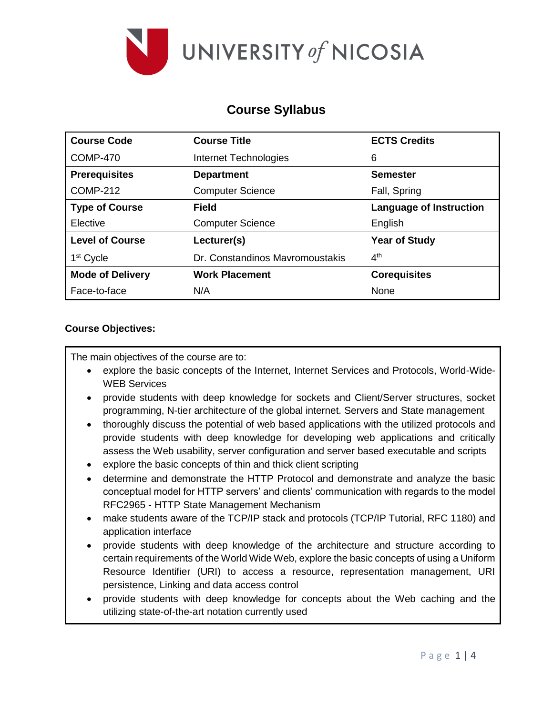

# **Course Syllabus**

| <b>Course Code</b>      | <b>Course Title</b>             | <b>ECTS Credits</b>            |  |
|-------------------------|---------------------------------|--------------------------------|--|
| <b>COMP-470</b>         | Internet Technologies           | 6                              |  |
| <b>Prerequisites</b>    | <b>Department</b>               | <b>Semester</b>                |  |
| <b>COMP-212</b>         | <b>Computer Science</b>         | Fall, Spring                   |  |
| <b>Type of Course</b>   | <b>Field</b>                    | <b>Language of Instruction</b> |  |
| Elective                | <b>Computer Science</b>         | English                        |  |
| <b>Level of Course</b>  | Lecturer(s)                     | <b>Year of Study</b>           |  |
| 1 <sup>st</sup> Cycle   | Dr. Constandinos Mavromoustakis | 4 <sup>th</sup>                |  |
| <b>Mode of Delivery</b> | <b>Work Placement</b>           | <b>Corequisites</b>            |  |
| Face-to-face            | N/A                             | None                           |  |

### **Course Objectives:**

The main objectives of the course are to:

- explore the basic concepts of the Internet, Internet Services and Protocols, World-Wide-WEB Services
- provide students with deep knowledge for sockets and Client/Server structures, socket programming, N-tier architecture of the global internet. Servers and State management
- thoroughly discuss the potential of web based applications with the utilized protocols and provide students with deep knowledge for developing web applications and critically assess the Web usability, server configuration and server based executable and scripts
- explore the basic concepts of thin and thick client scripting
- determine and demonstrate the HTTP Protocol and demonstrate and analyze the basic conceptual model for HTTP servers' and clients' communication with regards to the model RFC2965 - HTTP State Management Mechanism
- make students aware of the TCP/IP stack and protocols (TCP/IP Tutorial, RFC 1180) and application interface
- provide students with deep knowledge of the architecture and structure according to certain requirements of the World Wide Web, explore the basic concepts of using a Uniform Resource Identifier (URI) to access a resource, representation management, URI persistence, Linking and data access control
- provide students with deep knowledge for concepts about the Web caching and the utilizing state-of-the-art notation currently used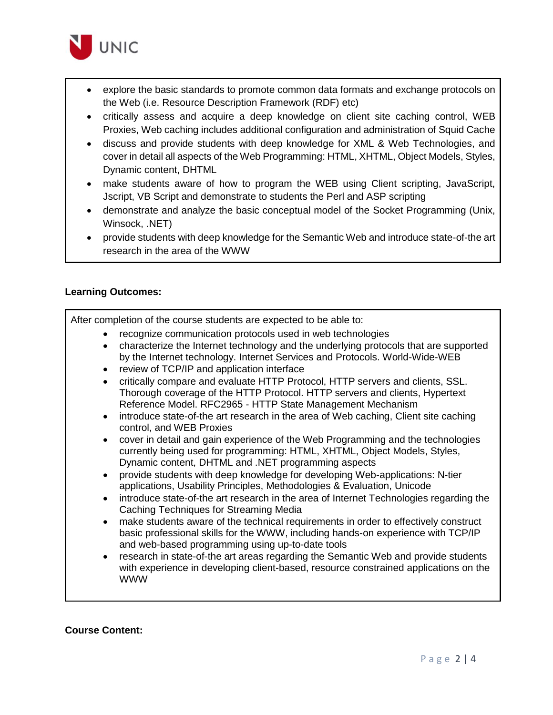

- explore the basic standards to promote common data formats and exchange protocols on the Web (i.e. Resource Description Framework (RDF) etc)
- critically assess and acquire a deep knowledge on client site caching control, WEB Proxies, Web caching includes additional configuration and administration of Squid Cache
- discuss and provide students with deep knowledge for XML & Web Technologies, and cover in detail all aspects of the Web Programming: HTML, XHTML, Object Models, Styles, Dynamic content, DHTML
- make students aware of how to program the WEB using Client scripting, JavaScript, Jscript, VB Script and demonstrate to students the Perl and ASP scripting
- demonstrate and analyze the basic conceptual model of the Socket Programming (Unix, Winsock, .NET)
- provide students with deep knowledge for the Semantic Web and introduce state-of-the art research in the area of the WWW

### **Learning Outcomes:**

After completion of the course students are expected to be able to:

- recognize communication protocols used in web technologies
- characterize the Internet technology and the underlying protocols that are supported by the Internet technology. Internet Services and Protocols. World-Wide-WEB
- review of TCP/IP and application interface
- critically compare and evaluate HTTP Protocol, HTTP servers and clients, SSL. Thorough coverage of the HTTP Protocol. HTTP servers and clients, Hypertext Reference Model. RFC2965 - HTTP State Management Mechanism
- introduce state-of-the art research in the area of Web caching, Client site caching control, and WEB Proxies
- cover in detail and gain experience of the Web Programming and the technologies currently being used for programming: HTML, XHTML, Object Models, Styles, Dynamic content, DHTML and .NET programming aspects
- provide students with deep knowledge for developing Web-applications: N-tier applications, Usability Principles, Methodologies & Evaluation, Unicode
- introduce state-of-the art research in the area of Internet Technologies regarding the Caching Techniques for Streaming Media
- make students aware of the technical requirements in order to effectively construct basic professional skills for the WWW, including hands-on experience with TCP/IP and web-based programming using up-to-date tools
- research in state-of-the art areas regarding the Semantic Web and provide students with experience in developing client-based, resource constrained applications on the WWW

### **Course Content:**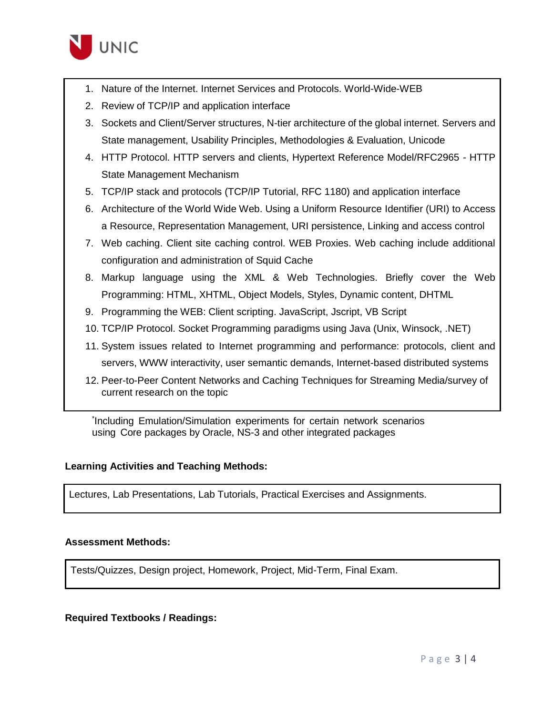

- 1. Nature of the Internet. Internet Services and Protocols. World-Wide-WEB
- 2. Review of TCP/IP and application interface
- 3. Sockets and Client/Server structures, N-tier architecture of the global internet. Servers and State management, Usability Principles, Methodologies & Evaluation, Unicode
- 4. HTTP Protocol. HTTP servers and clients, Hypertext Reference Model/RFC2965 HTTP State Management Mechanism
- 5. TCP/IP stack and protocols (TCP/IP Tutorial, RFC 1180) and application interface
- 6. Architecture of the World Wide Web. Using a Uniform Resource Identifier (URI) to Access a Resource, Representation Management, URI persistence, Linking and access control
- 7. Web caching. Client site caching control. WEB Proxies. Web caching include additional configuration and administration of Squid Cache
- 8. Markup language using the XML & Web Technologies. Briefly cover the Web Programming: HTML, XHTML, Object Models, Styles, Dynamic content, DHTML
- 9. Programming the WEB: Client scripting. JavaScript, Jscript, VB Script
- 10. TCP/IP Protocol. Socket Programming paradigms using Java (Unix, Winsock, .NET)
- 11. System issues related to Internet programming and performance: protocols, client and servers, WWW interactivity, user semantic demands, Internet-based distributed systems
- 12. Peer-to-Peer Content Networks and Caching Techniques for Streaming Media/survey of current research on the topic

\* Including Emulation/Simulation experiments for certain network scenarios using Core packages by Oracle, NS-3 and other integrated packages

### **Learning Activities and Teaching Methods:**

Lectures, Lab Presentations, Lab Tutorials, Practical Exercises and Assignments.

### **Assessment Methods:**

Tests/Quizzes, Design project, Homework, Project, Mid-Term, Final Exam.

### **Required Textbooks / Readings:**